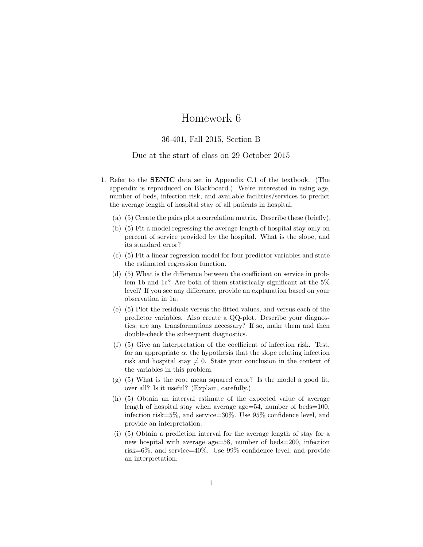## Homework 6

## 36-401, Fall 2015, Section B

## Due at the start of class on 29 October 2015

- 1. Refer to the SENIC data set in Appendix C.1 of the textbook. (The appendix is reproduced on Blackboard.) We're interested in using age, number of beds, infection risk, and available facilities/services to predict the average length of hospital stay of all patients in hospital.
	- (a) (5) Create the pairs plot a correlation matrix. Describe these (briefly).
	- (b) (5) Fit a model regressing the average length of hospital stay only on percent of service provided by the hospital. What is the slope, and its standard error?
	- (c) (5) Fit a linear regression model for four predictor variables and state the estimated regression function.
	- (d) (5) What is the difference between the coefficient on service in problem 1b and 1c? Are both of them statistically significant at the 5% level? If you see any difference, provide an explanation based on your observation in 1a.
	- (e) (5) Plot the residuals versus the fitted values, and versus each of the predictor variables. Also create a QQ-plot. Describe your diagnostics; are any transformations necessary? If so, make them and then double-check the subsequent diagnostics.
	- (f) (5) Give an interpretation of the coefficient of infection risk. Test, for an appropriate  $\alpha$ , the hypothesis that the slope relating infection risk and hospital stay  $\neq 0$ . State your conclusion in the context of the variables in this problem.
	- (g) (5) What is the root mean squared error? Is the model a good fit, over all? Is it useful? (Explain, carefully.)
	- (h) (5) Obtain an interval estimate of the expected value of average length of hospital stay when average age=54, number of beds=100, infection risk=5%, and service=30%. Use 95% confidence level, and provide an interpretation.
	- (i) (5) Obtain a prediction interval for the average length of stay for a new hospital with average age=58, number of beds=200, infection risk=6%, and service=40%. Use 99% confidence level, and provide an interpretation.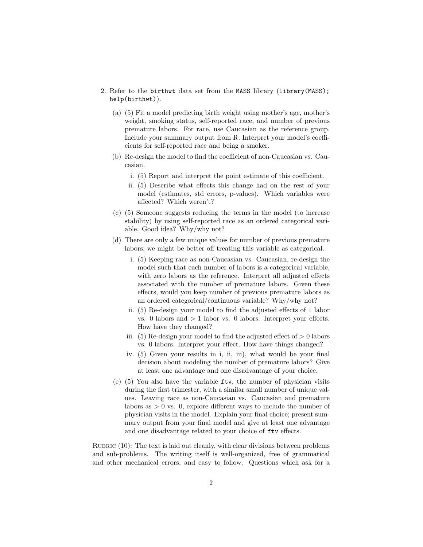- 2. Refer to the birthwt data set from the MASS library (library(MASS); help(birthwt)).
	- (a) (5) Fit a model predicting birth weight using mother's age, mother's weight, smoking status, self-reported race, and number of previous premature labors. For race, use Caucasian as the reference group. Include your summary output from R. Interpret your model's coefficients for self-reported race and being a smoker.
	- (b) Re-design the model to find the coefficient of non-Caucasian vs. Caucasian.
		- i. (5) Report and interpret the point estimate of this coefficient.
		- ii. (5) Describe what effects this change had on the rest of your model (estimates, std errors, p-values). Which variables were affected? Which weren't?
	- (c) (5) Someone suggests reducing the terms in the model (to increase stability) by using self-reported race as an ordered categorical variable. Good idea? Why/why not?
	- (d) There are only a few unique values for number of previous premature labors; we might be better off treating this variable as categorical.
		- i. (5) Keeping race as non-Caucasian vs. Caucasian, re-design the model such that each number of labors is a categorical variable, with zero labors as the reference. Interpret all adjusted effects associated with the number of premature labors. Given these effects, would you keep number of previous premature labors as an ordered categorical/continuous variable? Why/why not?
		- ii. (5) Re-design your model to find the adjusted effects of 1 labor vs. 0 labors and  $> 1$  labor vs. 0 labors. Interpret your effects. How have they changed?
		- iii. (5) Re-design your model to find the adjusted effect of  $> 0$  labors vs. 0 labors. Interpret your effect. How have things changed?
		- iv. (5) Given your results in i, ii, iii), what would be your final decision about modeling the number of premature labors? Give at least one advantage and one disadvantage of your choice.
	- (e) (5) You also have the variable ftv, the number of physician visits during the first trimester, with a similar small number of unique values. Leaving race as non-Caucasian vs. Caucasian and premature labors as  $> 0$  vs. 0, explore different ways to include the number of physician visits in the model. Explain your final choice; present summary output from your final model and give at least one advantage and one disadvantage related to your choice of ftv effects.

RUBRIC  $(10)$ : The text is laid out cleanly, with clear divisions between problems and sub-problems. The writing itself is well-organized, free of grammatical and other mechanical errors, and easy to follow. Questions which ask for a